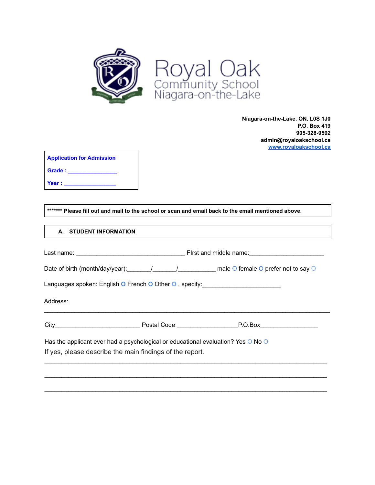

**Niagara-on-the-Lake, ON. L0S 1J0 P.O. Box 419 905-328-9592 admin@royaloakschool.ca [www.royaloakschool.ca](http://www.royaloakcommunityschool.ca)**

| <b>Application for Admission</b> |  |
|----------------------------------|--|
| Grade:                           |  |
| Year :                           |  |

**\*\*\*\*\*\*\* Please fill out and mail to the school or scan and email back to the email mentioned above.**

# **A. STUDENT INFORMATION**

| Languages spoken: English O French O Other O, specify: _________________________ |                                                                                                                                              |  |  |  |  |
|----------------------------------------------------------------------------------|----------------------------------------------------------------------------------------------------------------------------------------------|--|--|--|--|
| Address:                                                                         |                                                                                                                                              |  |  |  |  |
|                                                                                  |                                                                                                                                              |  |  |  |  |
|                                                                                  | Has the applicant ever had a psychological or educational evaluation? Yes O No O<br>If yes, please describe the main findings of the report. |  |  |  |  |
|                                                                                  |                                                                                                                                              |  |  |  |  |

 $\mathcal{L}_\mathcal{L} = \{ \mathcal{L}_\mathcal{L} = \{ \mathcal{L}_\mathcal{L} = \{ \mathcal{L}_\mathcal{L} = \{ \mathcal{L}_\mathcal{L} = \{ \mathcal{L}_\mathcal{L} = \{ \mathcal{L}_\mathcal{L} = \{ \mathcal{L}_\mathcal{L} = \{ \mathcal{L}_\mathcal{L} = \{ \mathcal{L}_\mathcal{L} = \{ \mathcal{L}_\mathcal{L} = \{ \mathcal{L}_\mathcal{L} = \{ \mathcal{L}_\mathcal{L} = \{ \mathcal{L}_\mathcal{L} = \{ \mathcal{L}_\mathcal{$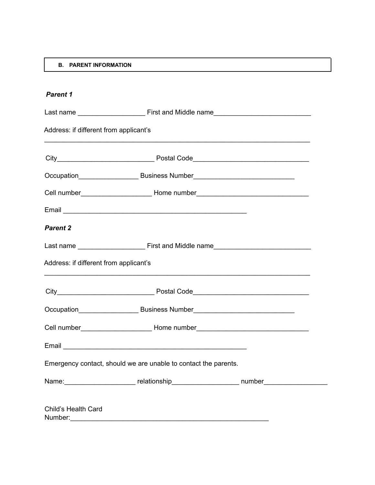## **B. PARENT INFORMATION**

| <b>Parent 1</b>                        |                                                                                                      |  |
|----------------------------------------|------------------------------------------------------------------------------------------------------|--|
|                                        |                                                                                                      |  |
| Address: if different from applicant's |                                                                                                      |  |
|                                        |                                                                                                      |  |
|                                        |                                                                                                      |  |
|                                        | Cell number_________________________________Home number_________________________                     |  |
|                                        |                                                                                                      |  |
| <b>Parent 2</b>                        |                                                                                                      |  |
|                                        |                                                                                                      |  |
| Address: if different from applicant's |                                                                                                      |  |
|                                        |                                                                                                      |  |
|                                        | Occupation____________________________Business Number____________________________                    |  |
|                                        | Cell number_________________________________Home number_________________________                     |  |
|                                        |                                                                                                      |  |
|                                        | Emergency contact, should we are unable to contact the parents.                                      |  |
|                                        | Name: ______________________________relationship___________________________number___________________ |  |
| Child's Health Card                    |                                                                                                      |  |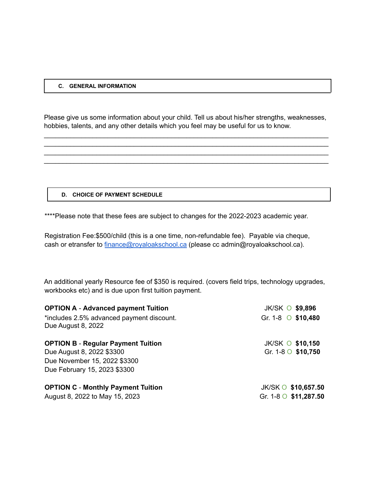#### **C. GENERAL INFORMATION**

Please give us some information about your child. Tell us about his/her strengths, weaknesses, hobbies, talents, and any other details which you feel may be useful for us to know.

\_\_\_\_\_\_\_\_\_\_\_\_\_\_\_\_\_\_\_\_\_\_\_\_\_\_\_\_\_\_\_\_\_\_\_\_\_\_\_\_\_\_\_\_\_\_\_\_\_\_\_\_\_\_\_\_\_\_\_\_\_\_\_\_\_\_\_\_\_\_\_\_\_\_\_\_ \_\_\_\_\_\_\_\_\_\_\_\_\_\_\_\_\_\_\_\_\_\_\_\_\_\_\_\_\_\_\_\_\_\_\_\_\_\_\_\_\_\_\_\_\_\_\_\_\_\_\_\_\_\_\_\_\_\_\_\_\_\_\_\_\_\_\_\_\_\_\_\_\_\_\_\_ \_\_\_\_\_\_\_\_\_\_\_\_\_\_\_\_\_\_\_\_\_\_\_\_\_\_\_\_\_\_\_\_\_\_\_\_\_\_\_\_\_\_\_\_\_\_\_\_\_\_\_\_\_\_\_\_\_\_\_\_\_\_\_\_\_\_\_\_\_\_\_\_\_\_\_\_ \_\_\_\_\_\_\_\_\_\_\_\_\_\_\_\_\_\_\_\_\_\_\_\_\_\_\_\_\_\_\_\_\_\_\_\_\_\_\_\_\_\_\_\_\_\_\_\_\_\_\_\_\_\_\_\_\_\_\_\_\_\_\_\_\_\_\_\_\_\_\_\_\_\_\_\_

#### **D. CHOICE OF PAYMENT SCHEDULE**

\*\*\*\*Please note that these fees are subject to changes for the 2022-2023 academic year.

Registration Fee:\$500/child (this is a one time, non-refundable fee). Payable via cheque, cash or etransfer to [finance@royaloakschool.ca](mailto:finance@royaloakschool.ca) (please cc admin@royaloakschool.ca).

An additional yearly Resource fee of \$350 is required. (covers field trips, technology upgrades, workbooks etc) and is due upon first tuition payment.

| <b>OPTION A - Advanced payment Tuition</b>                      | JK/SK O \$9,896          |
|-----------------------------------------------------------------|--------------------------|
| *includes 2.5% advanced payment discount.<br>Due August 8, 2022 | Gr. 1-8 0 \$10,480       |
| <b>OPTION B - Regular Payment Tuition</b>                       | <b>JK/SK O \$10,150</b>  |
| Due August 8, 2022 \$3300                                       | Gr. 1-8 $\circ$ \$10,750 |
| Due November 15, 2022 \$3300                                    |                          |
| Due February 15, 2023 \$3300                                    |                          |
| <b>OPTION C - Monthly Payment Tuition</b>                       | JK/SK O \$10,657.50      |
| August 8, 2022 to May 15, 2023                                  | Gr. 1-8 0 \$11,287.50    |